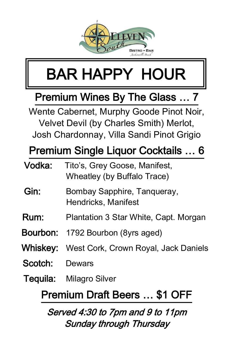

## BAR HAPPY HOUR

#### Premium Wines By The Glass … 7

Wente Cabernet, Murphy Goode Pinot Noir, Velvet Devil (by Charles Smith) Merlot, Josh Chardonnay, Villa Sandi Pinot Grigio

#### Premium Single Liquor Cocktails … 6

| Vodka:                       | Tito's, Grey Goose, Manifest,<br>Wheatley (by Buffalo Trace) |
|------------------------------|--------------------------------------------------------------|
| Gin:                         | Bombay Sapphire, Tangueray,<br>Hendricks, Manifest           |
| Rum:                         | Plantation 3 Star White, Capt. Morgan                        |
|                              | <b>Bourbon:</b> 1792 Bourbon (8yrs aged)                     |
| Whiskey:                     | West Cork, Crown Royal, Jack Daniels                         |
| Scotch:                      | Dewars                                                       |
| Tequila:                     | Milagro Silver                                               |
| Premium Draft Beers  \$1 OFF |                                                              |

#### Served 4:30 to 7pm and 9 to 11pm Sunday through Thursday